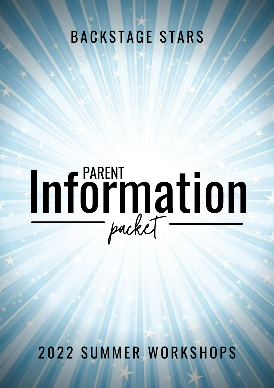# B A C K S T A G E S T A R S

# Information packet

2022 SUMMER WORKSHOPS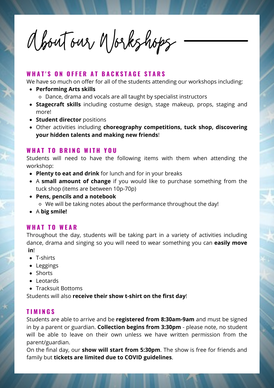About our Workshops

#### **WHAT'S ON OFFER AT BACKSTAGE STARS**

We have so much on offer for all of the students attending our workshops including:

- **Performing Arts skills**
	- Dance, drama and vocals are all taught by specialist instructors
- **Stagecraft skills** including costume design, stage makeup, props, staging and more!
- **Student director** positions
- Other activities including **choreography competitions, tuck shop, discovering your hidden talents and making new friends**!

#### **W H A T T O B R I N G W I T H Y O U**

Students will need to have the following items with them when attending the workshop:

- **Plenty to eat and drink** for lunch and for in your breaks
- A **small amount of change** if you would like to purchase something from the tuck shop (items are between 10p-70p)
- **Pens, pencils and a notebook**
	- We will be taking notes about the performance throughout the day!
- A **big smile!**

#### **W H A T T O W E A R**

Throughout the day, students will be taking part in a variety of activities including dance, drama and singing so you will need to wear something you can **easily move in**!

- T-shirts
- Leggings
- Shorts
- Leotards
- Tracksuit Bottoms

Students will also **receive their show t-shirt on the first day**!

#### **T I M I N G S**

Students are able to arrive and be **registered from 8:30am-9am** and must be signed in by a parent or guardian. **Collection begins from 3:30pm** - please note, no student will be able to leave on their own unless we have written permission from the parent/guardian.

On the final day, our **show will start from 5:30pm**. The show is free for friends and family but **tickets are limited due to COVID guidelines**.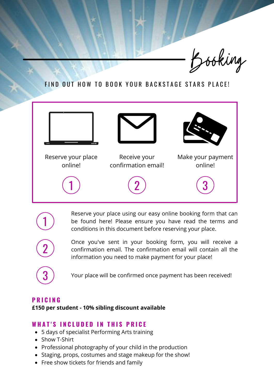Booking

FIND OUT HOW TO BOOK YOUR BACKSTAGF STARS PLACF!



Reserve your place using our easy online booking form that can be found here! Please ensure you have read the terms and conditions in this document before reserving your place.



1

Once you've sent in your booking form, you will receive a confirmation email. The confirmation email will contain all the information you need to make payment for your place!

Your place will be confirmed once payment has been received!

# **P R I C I N G**

3

**£150 per student - 10% sibling discount available**

# **W H A T ' S I N C L U D E D I N T H I S P R I C E**

- 5 days of specialist Performing Arts training
- Show T-Shirt
- Professional photography of your child in the production
- Staging, props, costumes and stage makeup for the show!
- Free show tickets for friends and family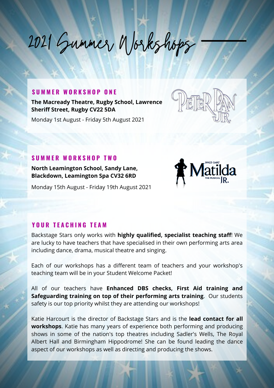2021 Summer Workshops

#### **S U M M E R W O R K S H O P O N E**

**The Macready Theatre, Rugby School, Lawrence Sheriff Street, Rugby CV22 5DA**

Monday 1st August - Friday 5th August 2021



## **S U M M E R W O R K S H O P T W O**

**North Leamington School, Sandy Lane, Blackdown, Leamington Spa CV32 6RD**

Monday 15th August - Friday 19th August 2021



### **Y O U R T E A C H I N G T E A M**

Backstage Stars only works with **highly qualified, specialist teaching staff**! We are lucky to have teachers that have specialised in their own performing arts area including dance, drama, musical theatre and singing.

Each of our workshops has a different team of teachers and your workshop's teaching team will be in your Student Welcome Packet!

All of our teachers have **Enhanced DBS checks, First Aid training and Safeguarding training on top of their performing arts training**. Our students safety is our top priority whilst they are attending our workshops!

Katie Harcourt is the director of Backstage Stars and is the **lead contact for all workshops**. Katie has many years of experience both performing and producing shows in some of the nation's top theatres including Sadler's Wells, The Royal Albert Hall and Birmingham Hippodrome! She can be found leading the dance aspect of our workshops as well as directing and producing the shows.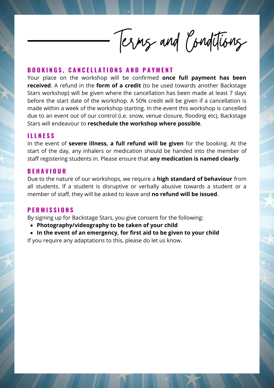Terms and Conditions

#### **BOOKINGS, CANCELLATIONS AND PAYMENT**

Your place on the workshop will be confirmed **once full payment has been received**. A refund in the **form of a credit** (to be used towards another Backstage Stars workshop) will be given where the cancellation has been made at least 7 days before the start date of the workshop. A 50% credit will be given if a cancellation is made within a week of the workshop starting. In the event this workshop is cancelled due to an event out of our control (i.e. snow, venue closure, flooding etc), Backstage Stars will endeavour to **reschedule the workshop where possible**.

#### **I L L N E S S**

In the event of **severe illness, a full refund will be given** for the booking. At the start of the day, any inhalers or medication should be handed into the member of staff registering students in. Please ensure that **any medication is named clearly**.

#### **B E H A V I O U R**

Due to the nature of our workshops, we require a **high standard of behaviour** from all students. If a student is disruptive or verbally abusive towards a student or a member of staff, they will be asked to leave and **no refund will be issued**.

#### **P E R M I S S I O N S**

By signing up for Backstage Stars, you give consent for the following:

- **Photography/videography to be taken of your child**
- **In the event of an emergency, for first aid to be given to your child**

If you require any adaptations to this, please do let us know.